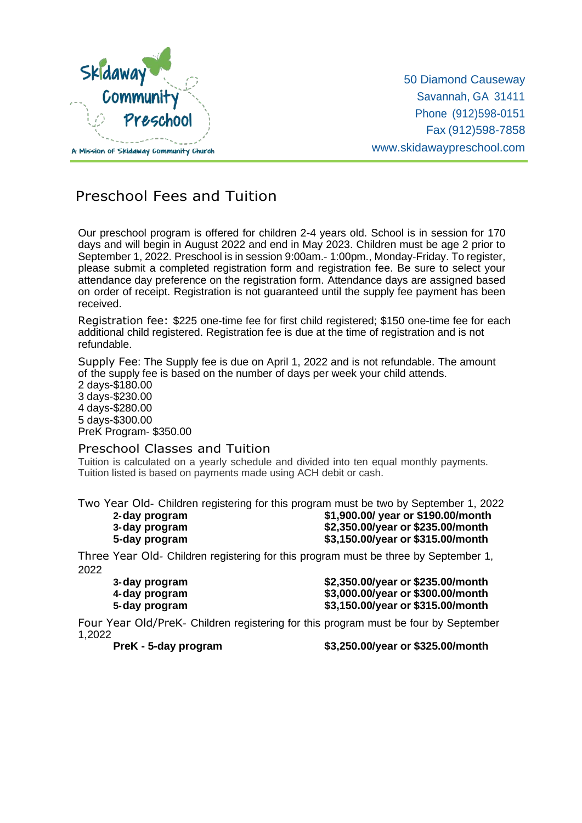

50 Diamond Causeway Savannah, GA 31411 Phone (912)598-0151 Fax (912)598-7858 [www.skidawaypreschool.com](http://www.skidawaypreschool.com/)

## Preschool Fees and Tuition

Our preschool program is offered for children 2-4 years old. School is in session for 170 days and will begin in August 2022 and end in May 2023. Children must be age 2 prior to September 1, 2022. Preschool is in session 9:00am.- 1:00pm., Monday-Friday. To register, please submit a completed registration form and registration fee. Be sure to select your attendance day preference on the registration form. Attendance days are assigned based on order of receipt. Registration is not guaranteed until the supply fee payment has been received.

Registration fee: \$225 one-time fee for first child registered; \$150 one-time fee for each additional child registered. Registration fee is due at the time of registration and is not refundable.

Supply Fee: The Supply fee is due on April 1, 2022 and is not refundable. The amount of the supply fee is based on the number of days per week your child attends.

 days-\$180.00 days-\$230.00 days-\$280.00 days-\$300.00 PreK Program- \$350.00

## Preschool Classes and Tuition

Tuition is calculated on a yearly schedule and divided into ten equal monthly payments. Tuition listed is based on payments made using ACH debit or cash.

Two Year Old- Children registering for this program must be two by September 1, 2022<br>2-day program **199.00** (\$1,900.00/year or \$190.00/month

**2-day program \$1,900.00/ year or \$190.00/month 3-day program \$2,350.00/year or \$235.00/month 5-day program \$3,150.00/year or \$315.00/month**

Three Year Old- Children registering for this program must be three by September 1, 2022

**3-day program \$2,350.00/year or \$235.00/month 4-day program \$3,000.00/year or \$300.00/month**

**5-day program \$3,150.00/year or \$315.00/month** Four Year Old/PreK- Children registering for this program must be four by September

1,2022

**PreK - 5-day program \$3,250.00/year or \$325.00/month**